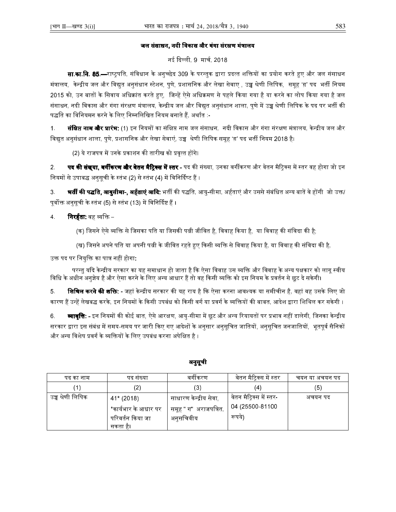## जल संसाधन, नदी विकास और गंगा संरक्षण मंत्रालय

## नई दिल्ली, 9 मार्च, 2018

**सा.का.नि. 85.—**राष्ट्रपति, संविधान के अनुच्छेद 309 के परन्तुक द्वारा प्रदत्त शक्तियों का प्रयोग करते हुए और जल संसाधन मंत्रालय, केन्द्रीय जल और विद्युत अनुसंधान स्टेशन, पुणे, प्रशासनिक और लेखा सेवाए , उच्च श्रेणी लिपिक, समूह 'ग' पद भर्ती नियम 2015 को, उन बातों के सिवाय अधिक्रांत करते हुए, जिन्हें ऐसे अधिक्रमण से पहले किया गया है या करने का लोप किया गया है जल संसाधन, नदी विकास और गंगा संरक्षण मंत्रालय, केन्द्रीय जल और विद्युत अनुसंधान शाला, पुणे में उच्च श्रेणी लिपिक के पद पर भर्ती की पद्धति का विनियमन करने के लिए निम्नलिखित नियम बनाते हैं, अर्थात :-

 $1<sub>1</sub>$ **संक्षिप्त नाम और प्रारंभ:** (1) इन नियमों का संक्षिप्त नाम जल संसाधन, नदी विकास और गंगा संरक्षण मंत्रालय, केन्द्रीय जल और विद्यत अनसंधान शाला. पणे. प्रशासनिक और लेखा सेवाएं. उच्च श्रेणी लिपिक समह 'ग़' पद भर्ती नियम 2018 है।

(2) ये राजपत्र में उनके प्रकाशन की तारीख को प्रवृत्त होंगे।

 $2.$ **पद की संख्या, वर्गीकरण और वेतन मैट्रिक्स में स्तर -** पद की संख्या, उनका वर्गीकरण और वेतन मैट्रिक्स में स्तर वह होगा जो इन नियमों से उपाबद्ध अनुसूची के स्तंभ (2) से स्तंभ (4) में विनिर्दिष्ट हैं ।

**भर्ती की पद्धति, आयुसीमा-, अर्हताएं आदि**: भर्ती की पद्धति, आयु-सीमा, अर्हताएं और उससे संबंधित अन्य बातें वे होंगी जो उक्त/ 3. पूर्वोक्त अनुसूची के स्तंभ (5) से स्तंभ (13) में विनिर्दिष्ट हैं ।

- **निरर्हता:** वह व्यक्ति  $\overline{4}$ 
	- (क) जिसने ऐसे व्यक्ति से जिसका पति या जिसकी पत्नी जीवित है, विवाह किया है, या विवाह की संविदा की है;
	- (ख) जिसने अपने पति या अपनी पत्नी के जीवित रहते हुए किसी व्यक्ति से विवाह किया है, या विवाह की संविदा की है,

उक्त पद पर नियुक्ति का पात्र नहीं होगा:

परन्तु यदि केन्द्रीय सरकार का यह समाधान हो जाता है कि ऐसा विवाह उस व्यक्ति और विवाह के अन्य पक्षकार को लागू स्वीय विधि के अधीन अनुज्ञेय है और ऐसा करने के लिए अन्य आधार हैं तो वह किसी व्यक्ति को इस नियम के प्रवर्तन से छूट दे सकेगी।

5 **शिथिल करने की शक्ति:** - जहां केन्द्रीय सरकार की यह राय है कि ऐसा करना आवश्यक या समीचीन है, वहां वह उसके लिए जो कारण हैं उन्हें लेखबद्ध करके, इन नियमों के किसी उपबंध को किसी वर्ग या प्रवर्ग के व्यक्तियों की बाबत, आदेश द्वारा शिथिल कर सकेगी ।

**व्यावृत्ति: -** इन नियमों की कोई बात, ऐसे आरक्षण, आयु-सीमा में छूट और अन्य रियायतों पर प्रभाव नहीं डालेगी, जिनका केन्द्रीय 6. सरकार द्वारा इस संबंध में समय-समय पर जारी किए गए आदेशों के अनुसार अनुसूचित जातियों, अनुसूचित जनजातियों, भूतपूर्व सैनिकों और अन्य विशेष प्रवर्ग के व्यक्तियों के लिए उपबंध करना अपेक्षित है ।

| पद का नाम         | पद सख्या             | वगाकरण                 | वेतन मैट्रिक्स में स्तर  | चयन या अचयन पद |
|-------------------|----------------------|------------------------|--------------------------|----------------|
|                   | $\left( 2\right)$    | (3)                    | $\left( 4\right)$        | (5)            |
| उच्च श्रेणी लिपिक | 41* (2018)           | साधारण केन्द्रीय सेवा, | वेतन मैट्रिक्स में स्तर- | अचयन पद        |
|                   | *कार्यभार के आधार पर | समूह " ग"  अराजपत्रित, | 04 (25500-81100          |                |
|                   | परिवर्तन किया जा     | अनुसचिवीय              | रूपये)                   |                |
|                   | सकता है।             |                        |                          |                |

### अनुसूची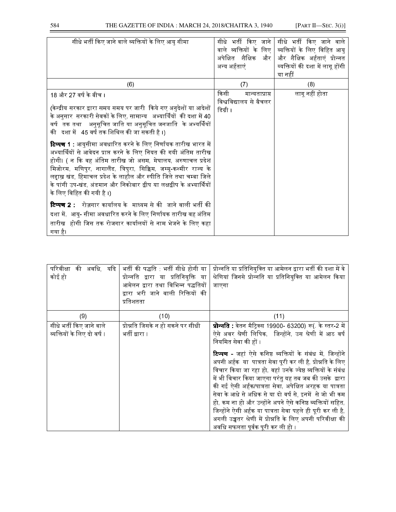| सीधे भर्ती किए जाने वाले व्यक्तियों के लिए आयु सीमा                                                                                                                                                                                                                                                                                                                                                                                                                                                                                                                                                                                                                                                                                                                                                                                                                                                                                                                           | सीधे भर्ती किए जाने  <br>वाले व्यक्तियों के लिए  <br>अपेक्षित शैक्षिक और<br>अन्य अर्हताएं | सीधे भर्ती किए जाने वाले<br>व्यक्तियों के लिए विहित आयु<br>और शैक्षिक अर्हताएं प्रोन्नत<br>व्यक्तियों की दशा में लागू होंगी<br>या नहीं |
|-------------------------------------------------------------------------------------------------------------------------------------------------------------------------------------------------------------------------------------------------------------------------------------------------------------------------------------------------------------------------------------------------------------------------------------------------------------------------------------------------------------------------------------------------------------------------------------------------------------------------------------------------------------------------------------------------------------------------------------------------------------------------------------------------------------------------------------------------------------------------------------------------------------------------------------------------------------------------------|-------------------------------------------------------------------------------------------|----------------------------------------------------------------------------------------------------------------------------------------|
| (6)                                                                                                                                                                                                                                                                                                                                                                                                                                                                                                                                                                                                                                                                                                                                                                                                                                                                                                                                                                           | (7)                                                                                       | (8)                                                                                                                                    |
| 18 और 27 वर्ष के बीच ।<br>(केन्द्रीय सरकार द्वारा समय समय पर जारी  किये गए अनुदेशों या आदेशों<br>के अनुसार  सरकारी सेवकों के लिए, सामान्य   अभ्यार्थियों  की दशा में 40<br>वर्ष तक तथा   अनुसूचित जाति या अनुसूचित जनजाति  के अभ्यर्थियों<br>की दशा में 45 वर्ष तक शिथिल की जा सकती है ।)<br><b>टिप्पण 1</b> : आयुसीमा अवधारित करने के लिए निर्णायक तारीख भारत में<br>अभ्यार्थियों से आवेदन प्राप्त करने के लिए नियत की गयी अंतिम तारीख<br>होगी। ( न कि वह अंतिम तारीख जो असम, मेघालय, अरुणाचल प्रदेश<br>मिजोरम, मणिपुर, नागालैंड, त्रिपुरा, सिक्किम, जम्मू-कश्मीर राज्य के<br>लद्दाख़ खंड, हिमाचल प्रदेश के लाहौल और स्पीति जिले तथा चम्बा जिले<br>के पांगी उप-खंड, अंडमान और निकोबार द्वीप या लक्षद्वीप के अभ्यार्थियों<br>के लिए विहित की गयी है ।)<br><b>टिप्पण 2</b> : रोज़गार कार्यालय के माध्यम से की जाने वाली भर्ती की<br>दशा में,  आयु- सीमा अवधारित करने के लिए निर्णायक तारीख वह अंतिम<br>तारीख  होगी जिस तक रोजगार कार्यालयों से नाम भेजने के लिए कहा<br>गया है। | किसी<br>मान्यताप्राप्त<br>विश्वविद्यालय से बैचलर<br>डिग्री ।                              | लागू नहीं होता                                                                                                                         |

| परिवीक्षा की अवधि, यदि<br>कोई हो                        | भर्ती की पद्धति भर्ती सीधे होगी या<br>प्रोन्नति द्वारा या प्रतिनियुक्ति या<br>आमेलन द्वारा तथा विभिन्न पद्धतियों<br>द्वारा भरी जाने वाली रिक्तियों की<br>प्रतिशतता | प्रोन्नति या प्रतिनियुक्ति या आमेलन द्वारा भर्ती की दशा में वे<br>श्रेणियां जिनसे प्रोन्नति या प्रतिनियुक्ति या आमेलन किया<br>जाएगा                                                                                                                                                                                                                                                                                                                                                                                                                                                                          |
|---------------------------------------------------------|--------------------------------------------------------------------------------------------------------------------------------------------------------------------|--------------------------------------------------------------------------------------------------------------------------------------------------------------------------------------------------------------------------------------------------------------------------------------------------------------------------------------------------------------------------------------------------------------------------------------------------------------------------------------------------------------------------------------------------------------------------------------------------------------|
| (9)                                                     | (10)                                                                                                                                                               | (11)                                                                                                                                                                                                                                                                                                                                                                                                                                                                                                                                                                                                         |
| सीधे भर्ती किए जाने वाले<br>व्यक्तियों के लिए दो वर्ष । | प्रोन्नति जिसके न हो सकने पर सीधी<br>भर्ती द्वारा ।                                                                                                                | <b>प्रोन्नति</b> : वेतन मैट्रिक्स 19900- 63200) रू( के स्तर-2 में<br>ऐसे अवर श्रेणी लिपिक, जिन्होंने, उस श्रेणी में आठ वर्ष<br>नियमित सेवा की हों ।                                                                                                                                                                                                                                                                                                                                                                                                                                                          |
|                                                         |                                                                                                                                                                    | <b>टिप्पण -</b> जहां ऐसे कनिष्ठ व्यक्तियों के संबंध में, जिन्होंने<br>अपनी अर्हक  या  पात्रता सेवा पूरी कर ली है, प्रोन्नति के लिए<br>विचार किया जा रहा हो, वहां उनके ज्येष्ठ व्यक्तियों के संबंध<br>में भी विचार किया जाएगा परंतु यह तब जब की उसके  द्वारा<br>की गई ऐसी अर्हक/पात्रता सेवा, अपेक्षित अरहक या पात्रता<br>सेवा के आधे से अधिक से या दो वर्ष से, इनमें  से जो भी कम<br>हो, कम ना हो और उन्होंने अपने ऐसे कनिष्ठ व्यक्तियों सहित,<br>जिन्होंने ऐसी अर्हक या पात्रता सेवा पहले ही पूरी कर ली है,<br>अगली उच्चतर श्रेणी में प्रोन्नति के लिए अपनी परिवीक्षा की<br>अवधि सफलता पर्वक परी कर ली टो । |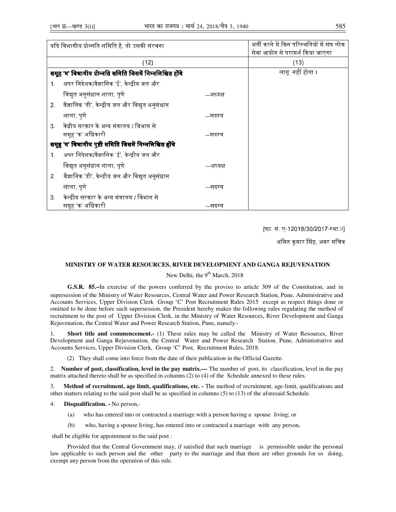|                | यदि विभागीय प्रोन्नति समिति है, तो उसकी संरचना           |          | भर्ती करने में किन परिस्थतियों में संघ लोक<br>सेवा आयोग से परामर्श किया जाएगा |
|----------------|----------------------------------------------------------|----------|-------------------------------------------------------------------------------|
|                | (12)                                                     |          | (13)                                                                          |
|                | समूह 'ग' विभागीय प्रोन्नति समिति जिसमें निम्नलिखित होंगे |          | लागूनहीं होता ।                                                               |
| 1 <sub>1</sub> | अपर निदेशक/वैज्ञानिक 'ई', केन्द्रीय जल और                |          |                                                                               |
|                | विद्युत अनुसंधान शाला, पुणे                              | —अध्यक्ष |                                                                               |
| 2 <sup>2</sup> | वैज्ञानिक 'डी', केन्द्रीय जल और विद्युत अनुसंधान         |          |                                                                               |
| शाला, पुणे     |                                                          | —सदस्य   |                                                                               |
| 3 <sup>1</sup> | केंद्रीय सरकार के अन्य मंत्रालय / विभाग से               |          |                                                                               |
|                | समूह 'क' अधिकारी                                         | —सदस्य   |                                                                               |
|                | समूह 'ग' विभागीय पुष्टी समिति जिसमें निम्नलिखित होंगे    |          |                                                                               |
| 1 <sub>1</sub> | अपर निदेशक/वैज्ञानिक 'ई', केन्द्रीय जल और                |          |                                                                               |
|                | विद्युत अनुसंधान शाला, पुणे                              | —अध्यक्ष |                                                                               |
| 2 <sub>1</sub> | वैज्ञानिक 'डी', केन्द्रीय जल और विद्युत अनुसंधान         |          |                                                                               |
| शाला, पुणे     |                                                          | —सदस्य   |                                                                               |
| 3 <sub>1</sub> | केन्द्रीय सरकार के अन्य मंत्रालय / विभाग से              |          |                                                                               |
|                | समूह 'क' अधिकारी                                         | —सदस्य   |                                                                               |

[फा. सं. ए-12018/30/2017-स्था.।।]

अमित कुमार सिंह, अवर सचिव

### **MINISTRY OF WATER RESOURCES, RIVER DEVELOPMENT AND GANGA REJUVENATION**

# New Delhi, the 9<sup>th</sup> March, 2018

**G.S.R. 85.**—In exercise of the powers conferred by the proviso to article 309 of the Constitution, and in supersession of the Ministry of Water Resources, Central Water and Power Research Station, Pune, Administrative and Accounts Services, Upper Division Clerk Group 'C' Post Recruitment Rules 2015 except as respect things done or omitted to be done before such supersession, the President hereby makes the following rules regulating the method of recruitment to the post of Upper Division Clerk, in the Ministry of Water Resources, River Development and Ganga Rejuvenation, the Central Water and Power Research Station, Pune, namely:-

1. **Short title and commencement.-** (1) These rules may be called the Ministry of Water Resources, River Development and Ganga Rejuvenation, the Central Water and Power Research Station, Pune, Administrative and Accounts Services, Upper Division Clerk, Group 'C' Post, Recruitment Rules, 2018.

(2) They shall come into force from the date of their publication in the Official Gazette.

2. **Number of post, classification, level in the pay matrix.—** The number of post, its classification, level in the pay matrix attached thereto shall be as specified in columns (2) to (4) of the Schedule annexed to these rules.

3. **Method of recruitment, age limit, qualifications, etc. -** The method of recruitment, age-limit, qualifications and other matters relating to the said post shall be as specified in columns (5) to (13) of the aforesaid Schedule.

- 4. **Disqualification. -** No person,-
	- (a) who has entered into or contracted a marriage with a person having a spouse living; or
	- (b) who, having a spouse living, has entered into or contracted a marriage with any person,

shall be eligible for appointment to the said post :

 Provided that the Central Government may, if satisfied that such marriage is permissible under the personal law applicable to such person and the other party to the marriage and that there are other grounds for so doing, exempt any person from the operation of this rule.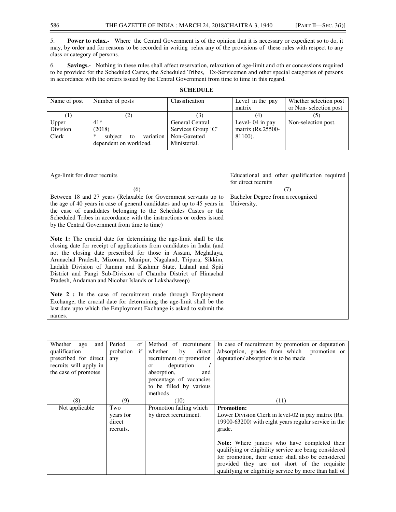5. **Power to relax.-** Where the Central Government is of the opinion that it is necessary or expedient so to do, it may, by order and for reasons to be recorded in writing relax any of the provisions of these rules with respect to any class or category of persons.

6. **Savings.-** Nothing in these rules shall affect reservation, relaxation of age-limit and oth er concessions required to be provided for the Scheduled Castes, the Scheduled Tribes, Ex-Servicemen and other special categories of persons in accordance with the orders issued by the Central Government from time to time in this regard.

| Name of post | Number of posts                 | Classification     | Level in the pay    | Whether selection post |
|--------------|---------------------------------|--------------------|---------------------|------------------------|
|              |                                 |                    | matrix              | or Non-selection post  |
|              | (2)                             |                    | (4)                 |                        |
| Upper        | $41*$                           | General Central    | Level- $04$ in pay  | Non-selection post.    |
| Division     | (2018)                          | Services Group 'C' | matrix $(Rs.25500-$ |                        |
| Clerk        | *<br>variation<br>subject<br>to | Non-Gazetted       | 81100).             |                        |
|              | dependent on workload.          | Ministerial.       |                     |                        |

#### **SCHEDULE**

| Age-limit for direct recruits                                              | Educational and other qualification required |
|----------------------------------------------------------------------------|----------------------------------------------|
|                                                                            | for direct recruits                          |
| (6)                                                                        | (7)                                          |
| Between 18 and 27 years (Relaxable for Government servants up to           | Bachelor Degree from a recognized            |
| the age of 40 years in case of general candidates and up to 45 years in    | University.                                  |
| the case of candidates belonging to the Schedules Castes or the            |                                              |
| Scheduled Tribes in accordance with the instructions or orders issued      |                                              |
| by the Central Government from time to time)                               |                                              |
|                                                                            |                                              |
| <b>Note 1:</b> The crucial date for determining the age-limit shall be the |                                              |
| closing date for receipt of applications from candidates in India (and     |                                              |
| not the closing date prescribed for those in Assam, Meghalaya,             |                                              |
| Arunachal Pradesh, Mizoram, Manipur, Nagaland, Tripura, Sikkim,            |                                              |
| Ladakh Division of Jammu and Kashmir State, Lahaul and Spiti               |                                              |
| District and Pangi Sub-Division of Chamba District of Himachal             |                                              |
| Pradesh, Andaman and Nicobar Islands or Lakshadweep)                       |                                              |
|                                                                            |                                              |
| Note 2 : In the case of recruitment made through Employment                |                                              |
| Exchange, the crucial date for determining the age-limit shall be the      |                                              |
| last date upto which the Employment Exchange is asked to submit the        |                                              |
| names.                                                                     |                                              |

| and<br>Whether<br>age<br>qualification<br>prescribed for direct<br>recruits will apply in<br>the case of promotes | Period<br>of<br>probation<br>if<br>any  | Method of recruitment<br>direct<br>whether<br>by<br>recruitment or promotion<br>deputation<br>$\alpha$<br>absorption,<br>and<br>percentage of vacancies<br>to be filled by various<br>methods | In case of recruitment by promotion or deputation<br>/absorption, grades from which promotion or<br>deputation/absorption is to be made                                                                                                                                                                                                                                                                                       |
|-------------------------------------------------------------------------------------------------------------------|-----------------------------------------|-----------------------------------------------------------------------------------------------------------------------------------------------------------------------------------------------|-------------------------------------------------------------------------------------------------------------------------------------------------------------------------------------------------------------------------------------------------------------------------------------------------------------------------------------------------------------------------------------------------------------------------------|
| (8)                                                                                                               | (9)                                     | (10)                                                                                                                                                                                          | (11)                                                                                                                                                                                                                                                                                                                                                                                                                          |
| Not applicable                                                                                                    | Two<br>years for<br>direct<br>recruits. | Promotion failing which<br>by direct recruitment.                                                                                                                                             | <b>Promotion:</b><br>Lower Division Clerk in level-02 in pay matrix (Rs.<br>19900-63200) with eight years regular service in the<br>grade.<br><b>Note:</b> Where juniors who have completed their<br>qualifying or eligibility service are being considered<br>for promotion, their senior shall also be considered<br>provided they are not short of the requisite<br>qualifying or eligibility service by more than half of |